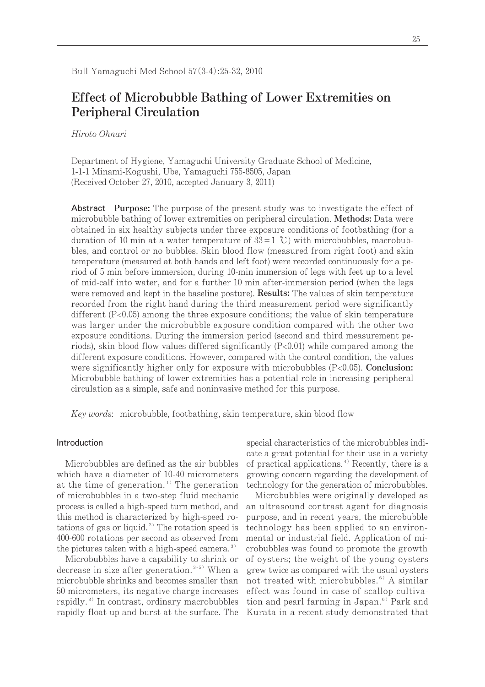# **Effect of Microbubble Bathing of Lower Extremities on Peripheral Circulation**

Hiroto Ohnari

Department of Hygiene, Yamaguchi University Graduate School of Medicine, 1-1-1 Minami-Kogushi, Ube, Yamaguchi 755-8505, Japan (Received October 27, 2010, accepted January 3, 2011)

Abstract **Purpose:** The purpose of the present study was to investigate the effect of microbubble bathing of lower extremities on peripheral circulation. **Methods:** Data were obtained in six healthy subjects under three exposure conditions of footbathing (for a duration of 10 min at a water temperature of  $33 \pm 1$  °C) with microbubbles, macrobubbles, and control or no bubbles. Skin blood flow (measured from right foot) and skin temperature (measured at both hands and left foot) were recorded continuously for a period of 5 min before immersion, during 10-min immersion of legs with feet up to a level of mid-calf into water, and for a further 10 min after-immersion period (when the legs were removed and kept in the baseline posture). **Results:** The values of skin temperature recorded from the right hand during the third measurement period were significantly different  $(P<0.05)$  among the three exposure conditions; the value of skin temperature was larger under the microbubble exposure condition compared with the other two exposure conditions. During the immersion period (second and third measurement periods), skin blood flow values differed significantly  $(P<0.01)$  while compared among the different exposure conditions. However, compared with the control condition, the values were significantly higher only for exposure with microbubbles (P<0.05). **Conclusion:**  Microbubble bathing of lower extremities has a potential role in increasing peripheral circulation as a simple, safe and noninvasive method for this purpose.

Key words: microbubble, footbathing, skin temperature, skin blood flow

# Introduction

Microbubbles are defined as the air bubbles which have a diameter of 10-40 micrometers at the time of generation. <sup>1</sup>) The generation of microbubbles in a two-step fluid mechanic process is called a high-speed turn method, and this method is characterized by high-speed rotations of gas or liquid.<sup>2)</sup> The rotation speed is 400-600 rotations per second as observed from the pictures taken with a high-speed camera.<sup>3)</sup>

Microbubbles have a capability to shrink or decrease in size after generation.<sup>3-5)</sup> When a microbubble shrinks and becomes smaller than 50 micrometers, its negative charge increases rapidly.<sup>3)</sup> In contrast, ordinary macrobubbles rapidly float up and burst at the surface. The special characteristics of the microbubbles indicate a great potential for their use in a variety of practical applications.<sup>4)</sup> Recently, there is a growing concern regarding the development of technology for the generation of microbubbles.

Microbubbles were originally developed as an ultrasound contrast agent for diagnosis purpose, and in recent years, the microbubble technology has been applied to an environmental or industrial field. Application of microbubbles was found to promote the growth of oysters; the weight of the young oysters grew twice as compared with the usual oysters not treated with microbubbles. <sup>6</sup>) A similar effect was found in case of scallop cultivation and pearl farming in Japan. <sup>6</sup>) Park and Kurata in a recent study demonstrated that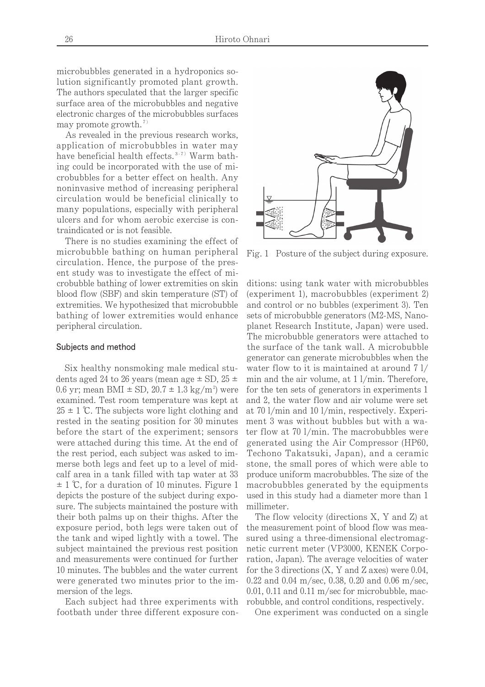microbubbles generated in a hydroponics solution significantly promoted plant growth. The authors speculated that the larger specific surface area of the microbubbles and negative electronic charges of the microbubbles surfaces may promote growth. 7)

As revealed in the previous research works, application of microbubbles in water may have beneficial health effects.<sup>3-7)</sup> Warm bathing could be incorporated with the use of microbubbles for a better effect on health. Any noninvasive method of increasing peripheral circulation would be beneficial clinically to many populations, especially with peripheral ulcers and for whom aerobic exercise is contraindicated or is not feasible.

There is no studies examining the effect of microbubble bathing on human peripheral circulation. Hence, the purpose of the present study was to investigate the effect of microbubble bathing of lower extremities on skin blood flow (SBF) and skin temperature (ST) of extremities. We hypothesized that microbubble bathing of lower extremities would enhance peripheral circulation.

#### Subjects and method

Six healthy nonsmoking male medical students aged 24 to 26 years (mean age  $\pm$  SD, 25  $\pm$ 0.6 yr; mean BMI  $\pm$  SD, 20.7  $\pm$  1.3 kg/m<sup>2</sup>) were examined. Test room temperature was kept at  $25 \pm 1$  °C. The subjects wore light clothing and rested in the seating position for 30 minutes before the start of the experiment; sensors were attached during this time. At the end of the rest period, each subject was asked to immerse both legs and feet up to a level of midcalf area in a tank filled with tap water at 33  $\pm$  1 °C, for a duration of 10 minutes. Figure 1 depicts the posture of the subject during exposure. The subjects maintained the posture with their both palms up on their thighs. After the exposure period, both legs were taken out of the tank and wiped lightly with a towel. The subject maintained the previous rest position and measurements were continued for further 10 minutes. The bubbles and the water current were generated two minutes prior to the immersion of the legs.

Each subject had three experiments with footbath under three different exposure con-



Fig. 1 Posture of the subject during exposure.

ditions: using tank water with microbubbles (experiment 1), macrobubbles (experiment 2) and control or no bubbles (experiment 3). Ten sets of microbubble generators (M2-MS, Nanoplanet Research Institute, Japan) were used. The microbubble generators were attached to the surface of the tank wall. A microbubble generator can generate microbubbles when the water flow to it is maintained at around 7 l/ min and the air volume, at 1 l/min. Therefore, for the ten sets of generators in experiments 1 and 2, the water flow and air volume were set at 70 l/min and 10 l/min, respectively. Experiment 3 was without bubbles but with a water flow at 70 l/min. The macrobubbles were generated using the Air Compressor (HP60, Techono Takatsuki, Japan), and a ceramic stone, the small pores of which were able to produce uniform macrobubbles. The size of the macrobubbles generated by the equipments used in this study had a diameter more than 1 millimeter.

The flow velocity (directions X, Y and Z) at the measurement point of blood flow was measured using a three-dimensional electromagnetic current meter (VP3000, KENEK Corporation, Japan). The average velocities of water for the 3 directions  $(X, Y, Y)$  and  $Z$  axes) were 0.04, 0.22 and 0.04 m/sec, 0.38, 0.20 and 0.06 m/sec, 0.01, 0.11 and 0.11 m/sec for microbubble, macrobubble, and control conditions, respectively.

One experiment was conducted on a single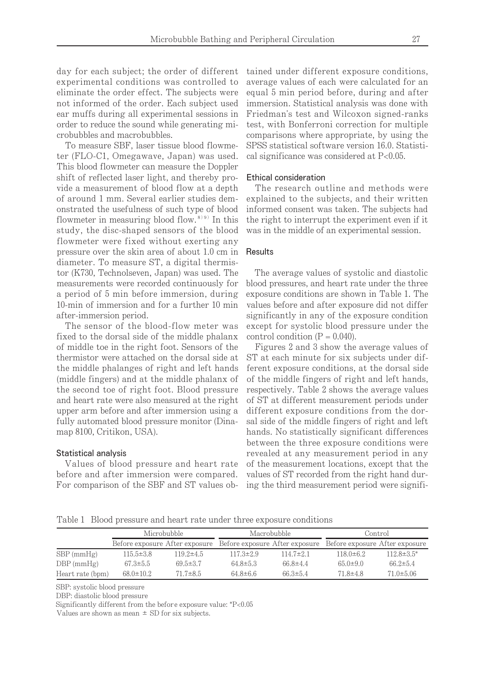day for each subject; the order of different experimental conditions was controlled to eliminate the order effect. The subjects were not informed of the order. Each subject used ear muffs during all experimental sessions in order to reduce the sound while generating microbubbles and macrobubbles.

To measure SBF, laser tissue blood flowmeter (FLO-C1, Omegawave, Japan) was used. This blood flowmeter can measure the Doppler shift of reflected laser light, and thereby provide a measurement of blood flow at a depth of around 1 mm. Several earlier studies demonstrated the usefulness of such type of blood flowmeter in measuring blood flow.<sup>8999</sup> In this study, the disc-shaped sensors of the blood flowmeter were fixed without exerting any pressure over the skin area of about 1.0 cm in diameter. To measure ST, a digital thermistor (K730, Technolseven, Japan) was used. The measurements were recorded continuously for a period of 5 min before immersion, during 10-min of immersion and for a further 10 min after-immersion period.

The sensor of the blood-flow meter was fixed to the dorsal side of the middle phalanx of middle toe in the right foot. Sensors of the thermistor were attached on the dorsal side at the middle phalanges of right and left hands (middle fingers) and at the middle phalanx of the second toe of right foot. Blood pressure and heart rate were also measured at the right upper arm before and after immersion using a fully automated blood pressure monitor (Dinamap 8100, Critikon, USA).

## Statistical analysis

Values of blood pressure and heart rate before and after immersion were compared. For comparison of the SBF and ST values obtained under different exposure conditions, average values of each were calculated for an equal 5 min period before, during and after immersion. Statistical analysis was done with Friedman's test and Wilcoxon signed-ranks test, with Bonferroni correction for multiple comparisons where appropriate, by using the SPSS statistical software version 16.0. Statistical significance was considered at P<0.05.

# Ethical consideration

The research outline and methods were explained to the subjects, and their written informed consent was taken. The subjects had the right to interrupt the experiment even if it was in the middle of an experimental session.

#### Results

The average values of systolic and diastolic blood pressures, and heart rate under the three exposure conditions are shown in Table 1. The values before and after exposure did not differ significantly in any of the exposure condition except for systolic blood pressure under the control condition  $(P = 0.040)$ .

Figures 2 and 3 show the average values of ST at each minute for six subjects under different exposure conditions, at the dorsal side of the middle fingers of right and left hands, respectively. Table 2 shows the average values of ST at different measurement periods under different exposure conditions from the dorsal side of the middle fingers of right and left hands. No statistically significant differences between the three exposure conditions were revealed at any measurement period in any of the measurement locations, except that the values of ST recorded from the right hand during the third measurement period were signifi-

Table 1 Blood pressure and heart rate under three exposure conditions

|                  | Microbubble     |                 | Macrobubble                                                                                  |                 | Control         |                   |
|------------------|-----------------|-----------------|----------------------------------------------------------------------------------------------|-----------------|-----------------|-------------------|
|                  |                 |                 | Before exposure After exposure Before exposure After exposure Before exposure After exposure |                 |                 |                   |
| $SBP$ (mmHg)     | $115.5 \pm 3.8$ | $119.2 \pm 4.5$ | $117.3 \pm 2.9$                                                                              | $114.7 \pm 2.1$ | $118.0 \pm 6.2$ | $112.8 \pm 3.5^*$ |
| $DBP$ (mmHg)     | $67.3 \pm 5.5$  | $69.5 \pm 3.7$  | $64.8 \pm 5.3$                                                                               | $66.8 \pm 4.4$  | $65.0 \pm 9.0$  | $66.2 \pm 5.4$    |
| Heart rate (bpm) | $68.0 \pm 10.2$ | $71.7 \pm 8.5$  | $64.8 \pm 6.6$                                                                               | $66.3 \pm 5.4$  | $71.8 \pm 4.8$  | $71.0 \pm 5.06$   |

SBP: systolic blood pressure

DBP: diastolic blood pressure

Significantly different from the before exposure value: \*P<0.05

Values are shown as mean  $\pm$  SD for six subjects.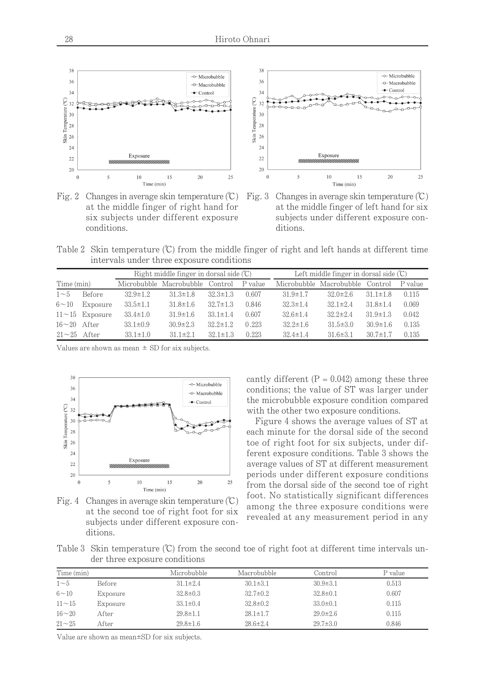

Fig. 2 Changes in average skin temperature  $(\mathbb{C})$ at the middle finger of right hand for six subjects under different exposure conditions.



Table 2 Skin temperature  $(\mathbb{C})$  from the middle finger of right and left hands at different time intervals under three exposure conditions

|                  |                                                         | Right middle finger in dorsal side $(\mathbb{C})$ |                         |                |         | Left middle finger in dorsal side $(\mathbb{C})$ |                                 |                |         |
|------------------|---------------------------------------------------------|---------------------------------------------------|-------------------------|----------------|---------|--------------------------------------------------|---------------------------------|----------------|---------|
| Time (min)       |                                                         |                                                   | Microbubble Macrobubble | Control        | P value |                                                  | Microbubble Macrobubble Control |                | P value |
| $1\sim5$         | <b>Before</b>                                           | $32.9 \pm 1.2$                                    | $31.3 \pm 1.8$          | $32.3 \pm 1.3$ | 0.607   | $31.9 \pm 1.7$                                   | $32.0 \pm 2.6$                  | $31.1 \pm 1.8$ | 0.115   |
| $6 - 10$         | Exposure                                                | $33.5 \pm 1.1$                                    | $31.8 \pm 1.6$          | $32.7 \pm 1.3$ | 0.846   | $32.3 \pm 1.4$                                   | $32.1 \pm 2.4$                  | $31.8 \pm 1.4$ | 0.069   |
|                  | $11\negthinspace\negthinspace\negthinspace-15$ Exposure | $33.4 \pm 1.0$                                    | $31.9 \pm 1.6$          | $33.1 \pm 1.4$ | 0.607   | $32.6 \pm 1.4$                                   | $32.2 \pm 2.4$                  | $31.9 \pm 1.3$ | 0.042   |
| $16\sim20$ After |                                                         | $33.1 \pm 0.9$                                    | $30.9 \pm 2.3$          | $32.2 \pm 1.2$ | 0.223   | $32.2 \pm 1.6$                                   | $31.5 \pm 3.0$                  | $30.9 \pm 1.6$ | 0.135   |
| $21\sim25$ After |                                                         | $33.1 \pm 1.0$                                    | $31.1 \pm 2.1$          | $32.1 \pm 1.3$ | 0.223   | $32.4 \pm 1.4$                                   | $31.6 \pm 3.1$                  | $30.7 \pm 1.7$ | 0.135   |

Values are shown as mean  $\pm$  SD for six subjects.



Fig. 4 Changes in average skin temperature  $(\mathbb{C})$ at the second toe of right foot for six subjects under different exposure conditions.

cantly different  $(P = 0.042)$  among these three conditions; the value of ST was larger under the microbubble exposure condition compared with the other two exposure conditions.

Figure 4 shows the average values of ST at each minute for the dorsal side of the second toe of right foot for six subjects, under different exposure conditions. Table 3 shows the average values of ST at different measurement periods under different exposure conditions from the dorsal side of the second toe of right foot. No statistically significant differences among the three exposure conditions were revealed at any measurement period in any

Table 3 Skin temperature (°C) from the second toe of right foot at different time intervals under three exposure conditions

| Time (min) |          | Microbubble    | Macrobubble    | Control        | P value |
|------------|----------|----------------|----------------|----------------|---------|
| $1\sim5$   | Before   | $31.1 \pm 2.4$ | $30.1 \pm 3.1$ | $30.9 \pm 3.1$ | 0.513   |
| $6 - 10$   | Exposure | $32.8 \pm 0.3$ | $32.7 \pm 0.2$ | $32.8 \pm 0.1$ | 0.607   |
| $11 - 15$  | Exposure | $33.1 \pm 0.4$ | $32.8 \pm 0.2$ | $33.0 \pm 0.1$ | 0.115   |
| $16 - 20$  | After    | $29.8 \pm 1.1$ | $28.1 \pm 1.7$ | $29.0 \pm 2.6$ | 0.115   |
| $21 - 25$  | After    | $29.8 \pm 1.6$ | $28.6 \pm 2.4$ | $29.7 \pm 3.0$ | 0.846   |

Value are shown as mean±SD for six subjects.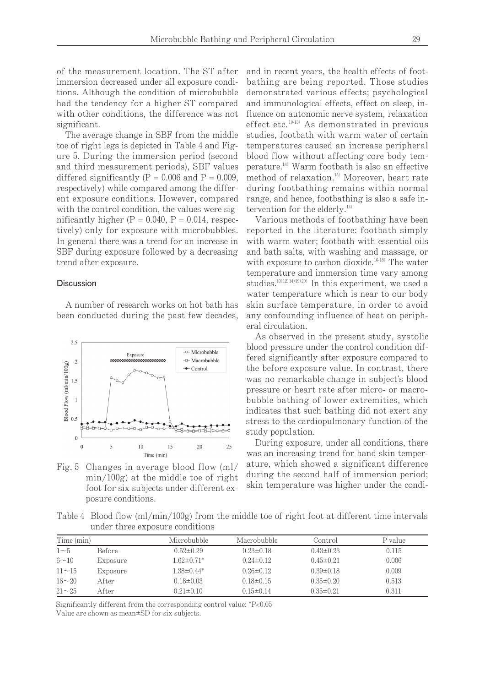of the measurement location. The ST after immersion decreased under all exposure conditions. Although the condition of microbubble had the tendency for a higher ST compared with other conditions, the difference was not significant.

The average change in SBF from the middle toe of right legs is depicted in Table 4 and Figure 5. During the immersion period (second and third measurement periods), SBF values differed significantly  $(P = 0.006$  and  $P = 0.009$ , respectively) while compared among the different exposure conditions. However, compared with the control condition, the values were significantly higher  $(P = 0.040, P = 0.014,$  respectively) only for exposure with microbubbles. In general there was a trend for an increase in SBF during exposure followed by a decreasing trend after exposure.

## Discussion

A number of research works on hot bath has been conducted during the past few decades,



Fig. 5 Changes in average blood flow (ml/ min/100g) at the middle toe of right foot for six subjects under different exposure conditions.

and in recent years, the health effects of footbathing are being reported. Those studies demonstrated various effects; psychological and immunological effects, effect on sleep, influence on autonomic nerve system, relaxation effect etc. 10-13) As demonstrated in previous studies, footbath with warm water of certain temperatures caused an increase peripheral blood flow without affecting core body temperature.<sup>14</sup> Warm footbath is also an effective method of relaxation. <sup>15</sup>) Moreover, heart rate during footbathing remains within normal range, and hence, footbathing is also a safe intervention for the elderly.<sup>14)</sup>

Various methods of footbathing have been reported in the literature: footbath simply with warm water; footbath with essential oils and bath salts, with washing and massage, or with exposure to carbon dioxide.<sup>16-18)</sup> The water temperature and immersion time vary among studies.<sup>10/12/14/19/20</sup> In this experiment, we used a water temperature which is near to our body skin surface temperature, in order to avoid any confounding influence of heat on peripheral circulation.

As observed in the present study, systolic blood pressure under the control condition differed significantly after exposure compared to the before exposure value. In contrast, there was no remarkable change in subject's blood pressure or heart rate after micro- or macrobubble bathing of lower extremities, which indicates that such bathing did not exert any stress to the cardiopulmonary function of the study population.

During exposure, under all conditions, there was an increasing trend for hand skin temperature, which showed a significant difference during the second half of immersion period; skin temperature was higher under the condi-

Table 4 Blood flow (ml/min/100g) from the middle toe of right foot at different time intervals under three exposure conditions

| Time (min)  |          | Microbubble       | Macrobubble     | Control         | P value |
|-------------|----------|-------------------|-----------------|-----------------|---------|
| $1\sim5$    | Before   | $0.52 \pm 0.29$   | $0.23 \pm 0.18$ | $0.43 \pm 0.23$ | 0.115   |
| $6 \sim 10$ | Exposure | $1.62 \pm 0.71$ * | $0.24 \pm 0.12$ | $0.45 \pm 0.21$ | 0.006   |
| $11 - 15$   | Exposure | $1.38 \pm 0.44*$  | $0.26 \pm 0.12$ | $0.39 \pm 0.18$ | 0.009   |
| $16 - 20$   | After    | $0.18 \pm 0.03$   | $0.18 \pm 0.15$ | $0.35 \pm 0.20$ | 0.513   |
| $21 - 25$   | After    | $0.21 \pm 0.10$   | $0.15 \pm 0.14$ | $0.35 \pm 0.21$ | 0.311   |

Significantly different from the corresponding control value: \*P<0.05 Value are shown as mean±SD for six subjects.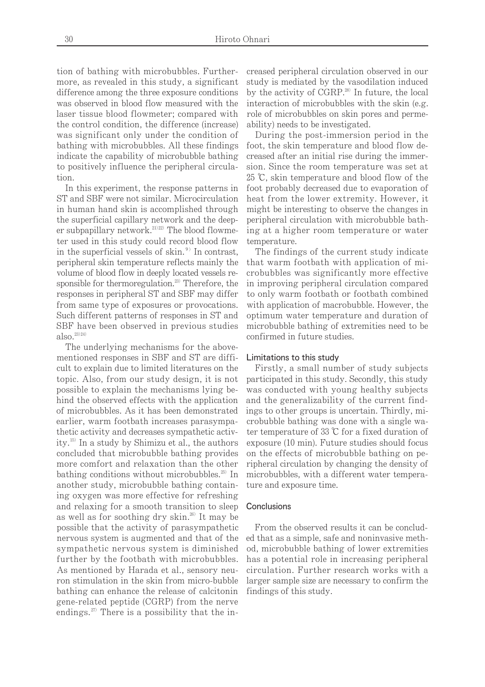tion of bathing with microbubbles. Furthermore, as revealed in this study, a significant difference among the three exposure conditions was observed in blood flow measured with the laser tissue blood flowmeter; compared with the control condition, the difference (increase) was significant only under the condition of bathing with microbubbles. All these findings indicate the capability of microbubble bathing to positively influence the peripheral circulation.

In this experiment, the response patterns in ST and SBF were not similar. Microcirculation in human hand skin is accomplished through the superficial capillary network and the deeper subpapillary network. $^{21/22/2}$  The blood flowmeter used in this study could record blood flow in the superficial vessels of skin.<sup>9)</sup> In contrast, peripheral skin temperature reflects mainly the volume of blood flow in deeply located vessels responsible for thermoregulation.<sup>23</sup> Therefore, the responses in peripheral ST and SBF may differ from same type of exposures or provocations. Such different patterns of responses in ST and SBF have been observed in previous studies also. $^{23)24)}$ 

The underlying mechanisms for the abovementioned responses in SBF and ST are difficult to explain due to limited literatures on the topic. Also, from our study design, it is not possible to explain the mechanisms lying behind the observed effects with the application of microbubbles. As it has been demonstrated earlier, warm footbath increases parasympathetic activity and decreases sympathetic activity. <sup>15</sup>)In a study by Shimizu et al., the authors concluded that microbubble bathing provides more comfort and relaxation than the other bathing conditions without microbubbles.<sup>25)</sup> In another study, microbubble bathing containing oxygen was more effective for refreshing and relaxing for a smooth transition to sleep as well as for soothing dry skin. <sup>26</sup>) It may be possible that the activity of parasympathetic nervous system is augmented and that of the sympathetic nervous system is diminished further by the footbath with microbubbles. As mentioned by Harada et al., sensory neuron stimulation in the skin from micro-bubble bathing can enhance the release of calcitonin gene-related peptide (CGRP) from the nerve endings. <sup>27</sup>) There is a possibility that the in-

creased peripheral circulation observed in our study is mediated by the vasodilation induced by the activity of CGRP.<sup>28</sup> In future, the local interaction of microbubbles with the skin (e.g. role of microbubbles on skin pores and permeability) needs to be investigated.

During the post-immersion period in the foot, the skin temperature and blood flow decreased after an initial rise during the immersion. Since the room temperature was set at 25  $\mathbb{C}$ , skin temperature and blood flow of the foot probably decreased due to evaporation of heat from the lower extremity. However, it might be interesting to observe the changes in peripheral circulation with microbubble bathing at a higher room temperature or water temperature.

The findings of the current study indicate that warm footbath with application of microbubbles was significantly more effective in improving peripheral circulation compared to only warm footbath or footbath combined with application of macrobubble. However, the optimum water temperature and duration of microbubble bathing of extremities need to be confirmed in future studies.

#### Limitations to this study

Firstly, a small number of study subjects participated in this study. Secondly, this study was conducted with young healthy subjects and the generalizability of the current findings to other groups is uncertain. Thirdly, microbubble bathing was done with a single water temperature of 33  $\mathbb C$  for a fixed duration of exposure (10 min). Future studies should focus on the effects of microbubble bathing on peripheral circulation by changing the density of microbubbles, with a different water temperature and exposure time.

#### **Conclusions**

From the observed results it can be concluded that as a simple, safe and noninvasive method, microbubble bathing of lower extremities has a potential role in increasing peripheral circulation. Further research works with a larger sample size are necessary to confirm the findings of this study.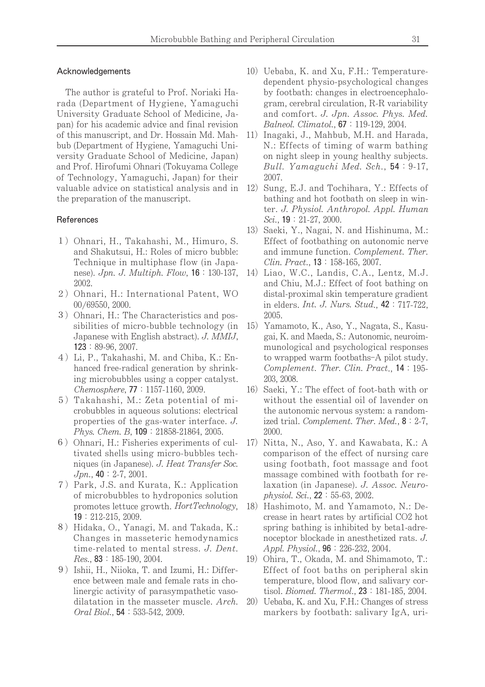### Acknowledgements

The author is grateful to Prof. Noriaki Harada (Department of Hygiene, Yamaguchi University Graduate School of Medicine, Japan) for his academic advice and final revision of this manuscript, and Dr. Hossain Md. Mahbub (Department of Hygiene, Yamaguchi University Graduate School of Medicine, Japan) and Prof. Hirofumi Ohnari (Tokuyama College of Technology, Yamaguchi, Japan) for their valuable advice on statistical analysis and in the preparation of the manuscript.

#### References

- 1) Ohnari, H., Takahashi, M., Himuro, S. and Shakutsui, H.: Roles of micro bubble: Technique in multiphase flow (in Japanese). *Jpn. J. Multiph. Flow*, **16**: 130-137, 2002.
- 2) Ohnari, H.: International Patent, WO 00/69550, 2000.
- 3) Ohnari, H.: The Characteristics and possibilities of micro-bubble technology (in Japanese with English abstract). J. MMIJ, 123:89-96, 2007.
- 4)Li, P., Takahashi, M. and Chiba, K.: Enhanced free-radical generation by shrinking microbubbles using a copper catalyst. Chemosphere, **77**: 1157-1160, 2009.
- 5)Takahashi, M.: Zeta potential of microbubbles in aqueous solutions: electrical properties of the gas-water interface. J. Phys. Chem. B, 109: 21858-21864, 2005.
- 6) Ohnari, H.: Fisheries experiments of cultivated shells using micro-bubbles techniques (in Japanese). J. Heat Transfer Soc.  $Jpn.$ , 40: 2-7, 2001.
- 7)Park, J.S. and Kurata, K.: Application of microbubbles to hydroponics solution promotes lettuce growth. HortTechnology, 19:212-215, 2009.
- 8) Hidaka, O., Yanagi, M. and Takada, K.: Changes in masseteric hemodynamics time-related to mental stress. J. Dent. Res., 83:185-190, 2004.
- 9) Ishii, H., Niioka, T. and Izumi, H.: Difference between male and female rats in cholinergic activity of parasympathetic vasodilatation in the masseter muscle. Arch. Oral Biol., **54**: 533-542, 2009.
- 10) Uebaba, K. and Xu, F.H.: Temperaturedependent physio-psychological changes by footbath: changes in electroencephalogram, cerebral circulation, R-R variability and comfort. J. Jpn. Assoc. Phys. Med. Balneol. Climatol., 67:119-129, 2004.
- 11) Inagaki, J., Mahbub, M.H. and Harada, N.: Effects of timing of warm bathing on night sleep in young healthy subjects. Bull. Yamaguchi Med. Sch., 54: 9-17, 2007.
- 12) Sung, E.J. and Tochihara, Y.: Effects of bathing and hot footbath on sleep in winter. J. Physiol. Anthropol. Appl. Human Sci., **19**: 21-27, 2000.
- 13) Saeki, Y., Nagai, N. and Hishinuma, M.: Effect of footbathing on autonomic nerve and immune function. Complement. Ther. Clin. Pract., **13**: 158-165, 2007.
- 14) Liao, W.C., Landis, C.A., Lentz, M.J. and Chiu, M.J.: Effect of foot bathing on distal-proximal skin temperature gradient in elders. *Int. J. Nurs. Stud.*, **42**: 717-722, 2005.
- 15) Yamamoto, K., Aso, Y., Nagata, S., Kasugai, K. and Maeda, S.: Autonomic, neuroimmunological and psychological responses to wrapped warm footbaths–A pilot study. Complement. Ther. Clin. Pract., 14:195-203, 2008.
- 16) Saeki, Y.: The effect of foot-bath with or without the essential oil of lavender on the autonomic nervous system: a randomized trial. Complement. Ther. Med.,  $8:2-7$ , 2000.
- 17) Nitta, N., Aso, Y. and Kawabata, K.: A comparison of the effect of nursing care using footbath, foot massage and foot massage combined with footbath for relaxation (in Japanese). J. Assoc. Neuro $physiol. Sci., 22 : 55-63, 2002.$
- 18) Hashimoto, M. and Yamamoto, N.: Decrease in heart rates by artificial CO2 hot spring bathing is inhibited by beta1-adrenoceptor blockade in anesthetized rats. J. Appl. Physiol., **96**: 226-232, 2004.
- 19) Ohira, T., Okada, M. and Shimamoto, T.: Effect of foot baths on peripheral skin temperature, blood flow, and salivary cortisol. *Biomed. Thermol.*, **23**: 181-185, 2004.
- 20) Uebaba, K. and Xu, F.H.: Changes of stress markers by footbath: salivary IgA, uri-